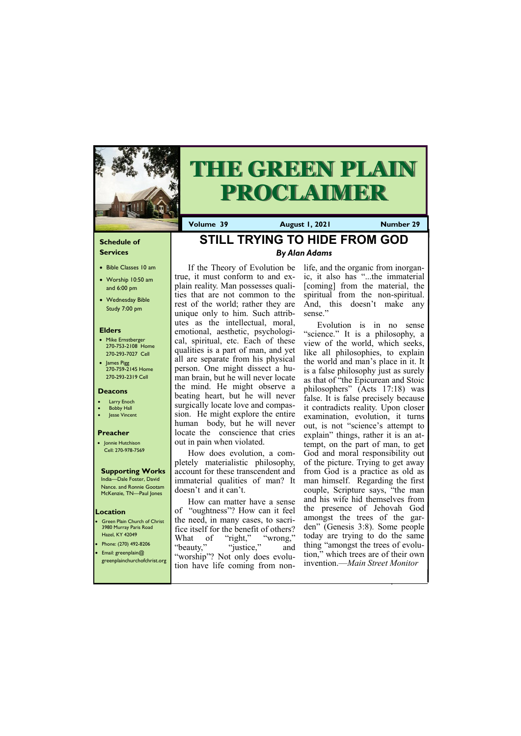# **Schedule of Services**

- Bible Classes 10 am
- Worship 10:50 am and 6:00 pm
- Wednesday Bible Study 7:00 pm

#### **Elders**

- Mike Ernstberger 270-753-2108 Home 270-293-7027 Cell
- James Pigg 270-759-2145 Home 270-293-2319 Cell

**Green Plain Church of Christ** 3980 Murray Paris Road Hazel, KY 42049 • Phone: (270) 492-8206 • Email: greenplain@

#### **Location**

If the Theory of Evolution be life, and the organic from inorganic, it also has "...the immaterial [coming] from the material, the spiritual from the non-spiritual. And, this doesn't make any sense."



# **THE GREEN PLAIN PROCLAIMER**

**Volume 39 August 1, 2021 Mumber 29** 

#### **Deacons**

- Larry Enoch
- **Bobby Hall**
- Jesse Vincent

#### **Preacher**

• Jonnie Hutchison Cell: 270-978-7569

# **Supporting Works**

India—Dale Foster, David Nance. and Ronnie Gootam McKenzie, TN—Paul Jones

# **STILL TRYING TO HIDE FROM GOD** *By Alan Adams*

How can matter have a sense of "oughtness"? How can it feel the need, in many cases, to sacrifice itself for the benefit of others? What of "right," "wrong," "beauty," "justice," and

true, it must conform to and explain reality. Man possesses qualities that are not common to the rest of the world; rather they are unique only to him. Such attributes as the intellectual, moral, emotional, aesthetic, psychological, spiritual, etc. Each of these qualities is a part of man, and yet all are separate from his physical person. One might dissect a human brain, but he will never locate the mind. He might observe a beating heart, but he will never surgically locate love and compassion. He might explore the entire human body, but he will never locate the conscience that cries out in pain when violated.

How does evolution, a completely materialistic philosophy, account for these transcendent and immaterial qualities of man? It doesn't and it can't.

| $\bullet$ email: greenplain( $\omega$ | "worship"? Not only does evolu- | tion," which trees are of their own    |
|---------------------------------------|---------------------------------|----------------------------------------|
| greenplainchurchofchrist.org          | tion have life coming from non- | invention.— <i>Main Street Monitor</i> |
|                                       |                                 |                                        |

Evolution is in no sense "science." It is a philosophy, a view of the world, which seeks, like all philosophies, to explain the world and man's place in it. It is a false philosophy just as surely as that of "the Epicurean and Stoic philosophers" (Acts 17:18) was false. It is false precisely because it contradicts reality. Upon closer examination, evolution, it turns out, is not "science's attempt to explain" things, rather it is an attempt, on the part of man, to get God and moral responsibility out of the picture. Trying to get away from God is a practice as old as man himself. Regarding the first couple, Scripture says, "the man and his wife hid themselves from the presence of Jehovah God amongst the trees of the garden" (Genesis 3:8). Some people today are trying to do the same thing "amongst the trees of evolution," which trees are of their own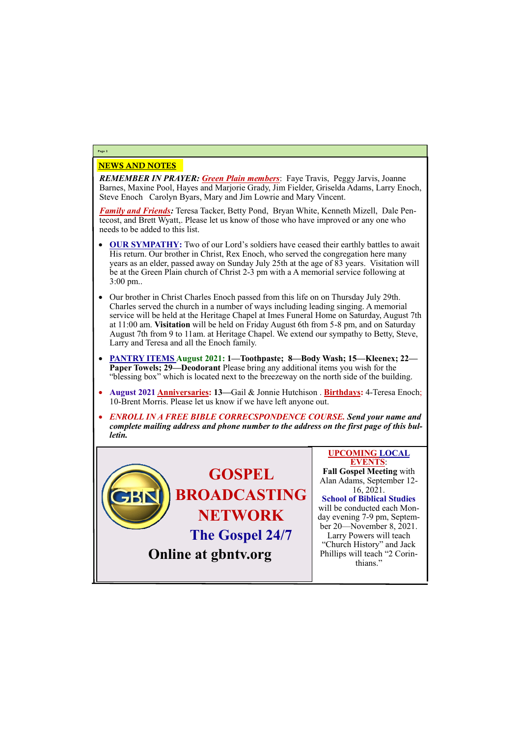# NEWS AND NOTES

*REMEMBER IN PRAYER: Green Plain members*: Faye Travis, Peggy Jarvis, Joanne Barnes, Maxine Pool, Hayes and Marjorie Grady, Jim Fielder, Griselda Adams, Larry Enoch, Steve Enoch Carolyn Byars, Mary and Jim Lowrie and Mary Vincent.

*Family and Friends:* Teresa Tacker, Betty Pond, Bryan White, Kenneth Mizell, Dale Pentecost, and Brett Wyatt,. Please let us know of those who have improved or any one who needs to be added to this list.

- **OUR SYMPATHY:** Two of our Lord's soldiers have ceased their earthly battles to await His return. Our brother in Christ, Rex Enoch, who served the congregation here many years as an elder, passed away on Sunday July 25th at the age of 83 years. Visitation will be at the Green Plain church of Christ 2-3 pm with a A memorial service following at 3:00 pm..
- Our brother in Christ Charles Enoch passed from this life on on Thursday July 29th. Charles served the church in a number of ways including leading singing. A memorial service will be held at the Heritage Chapel at Imes Funeral Home on Saturday, August 7th at 11:00 am. **Visitation** will be held on Friday August 6th from 5-8 pm, and on Saturday August 7th from 9 to 11am. at Heritage Chapel. We extend our sympathy to Betty, Steve, Larry and Teresa and all the Enoch family.
- **PANTRY ITEMS August 2021: 1—Toothpaste; 8—Body Wash; 15—Kleenex; 22— Paper Towels; 29—Deodorant** Please bring any additional items you wish for the "blessing box" which is located next to the breezeway on the north side of the building.
- **August 2021 Anniversaries: 13—**Gail & Jonnie Hutchison . **Birthdays:** 4-Teresa Enoch; 10-Brent Morris. Please let us know if we have left anyone out.
- *ENROLL IN A FREE BIBLE CORRECSPONDENCE COURSE. Send your name and complete mailing address and phone number to the address on the first page of this bulletin.*

# **Page 2**

**GOSPEL BROADCASTING NETWORK The Gospel 24/7**

#### **UPCOMING LOCAL EVENTS**:

**Fall Gospel Meeting** with Alan Adams, September 12- 16, 2021. **School of Biblical Studies** 



will be conducted each Monday evening 7-9 pm, September 20—November 8, 2021.

Larry Powers will teach "Church History" and Jack Phillips will teach "2 Corin-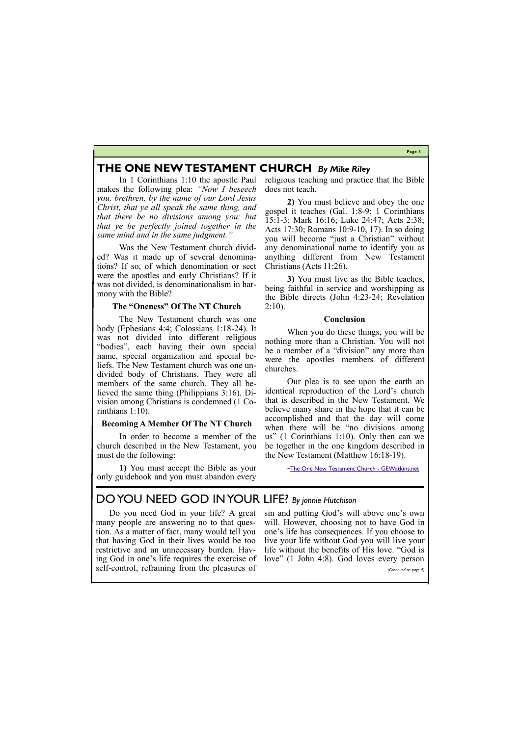**Page 3**

# **THE ONE NEW TESTAMENT CHURCH** *By Mike Riley*

In 1 Corinthians 1:10 the apostle Paul makes the following plea: *"Now I beseech you, brethren, by the name of our Lord Jesus Christ, that ye all speak the same thing, and that there be no divisions among you; but that ye be perfectly joined together in the same mind and in the same judgment."*

Was the New Testament church divided? Was it made up of several denominations? If so, of which denomination or sect were the apostles and early Christians? If it was not divided, is denominationalism in harmony with the Bible?

## **The "Oneness" Of The NT Church**

The New Testament church was one body (Ephesians 4:4; Colossians 1:18-24). It was not divided into different religious "bodies", each having their own special name, special organization and special beliefs. The New Testament church was one undivided body of Christians. They were all members of the same church. They all believed the same thing (Philippians 3:16). Division among Christians is condemned (1 Corinthians 1:10).

**3)** You must live as the Bible teaches, being faithful in service and worshipping as the Bible directs (John 4:23-24; Revelation  $2:10$ ).

## **Becoming A Member Of The NT Church**

In order to become a member of the church described in the New Testament, you must do the following:

**1)** You must accept the Bible as your only guidebook and you must abandon every

religious teaching and practice that the Bible does not teach.

**2)** You must believe and obey the one gospel it teaches (Gal. 1:8-9; 1 Corinthians 15:1-3; Mark 16:16; Luke 24:47; Acts 2:38; Acts 17:30; Romans 10:9-10, 17). In so doing you will become "just a Christian" without any denominational name to identify you as anything different from New Testament Christians (Acts 11:26).

ing God in one's life requires the exercise of love" (1 John 4:8). God loves every person self-control, refraining from the pleasures of *(Continued on page 4)*

## **Conclusion**

When you do these things, you will be nothing more than a Christian. You will not be a member of a "division" any more than were the apostles members of different churches.

Our plea is to see upon the earth an identical reproduction of the Lord's church that is described in the New Testament. We believe many share in the hope that it can be accomplished and that the day will come when there will be "no divisions among us" (1 Corinthians 1:10). Only then can we be together in the one kingdom described in the New Testament (Matthew 16:18-19).

-[The One New Testament Church -](https://gewatkins.net/the-one-new-testament-church/) GEWatkins.net

# DO YOU NEED GOD IN YOUR LIFE? *By jonnie Hutchison*

Do you need God in your life? A great many people are answering no to that question. As a matter of fact, many would tell you that having God in their lives would be too restrictive and an unnecessary burden. Havsin and putting God's will above one's own will. However, choosing not to have God in one's life has consequences. If you choose to live your life without God you will live your life without the benefits of His love. "God is